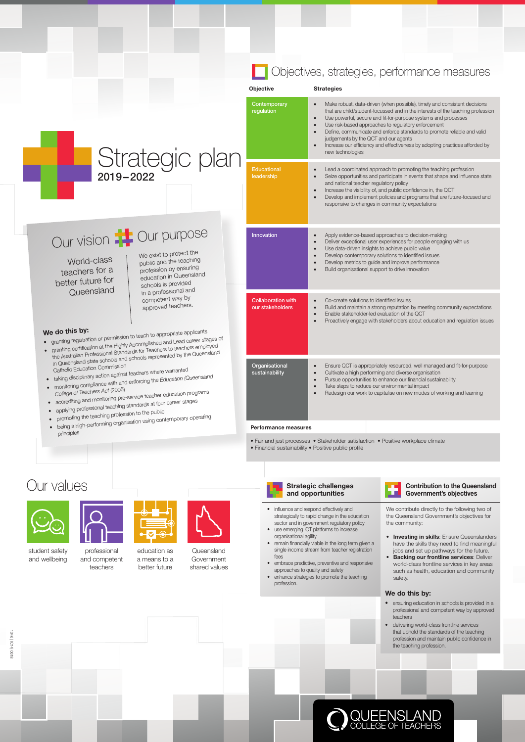#### Objective Strategies **Contemporary** regulation Make robust, data-driven (when possible), timely and consistent decisions that are child/student-focussed and in the interests of the teaching profession Use powerful, secure and fit-for-purpose systems and processes Use risk-based approaches to regulatory enforcement • Define, communicate and enforce standards to promote reliable and valid judgements by the QCT and our agents Increase our efficiency and effectiveness by adopting practices afforded by new technologies **Educational** leadership Lead a coordinated approach to promoting the teaching profession Seize opportunities and participate in events that shape and influence state and national teacher regulatory policy Increase the visibility of, and public confidence in, the QCT • Develop and implement policies and programs that are future-focused and responsive to changes in community expectations Innovation • Apply evidence-based approaches to decision-making Deliver exceptional user experiences for people engaging with us Use data-driven insights to achieve public value Develop contemporary solutions to identified issues Develop metrics to guide and improve performance Build organisational support to drive innovation Collaboration with our stakeholders Co-create solutions to identified issues Build and maintain a strong reputation by meeting community expectations Enable stakeholder-led evaluation of the QCT Proactively engage with stakeholders about education and regulation issues **Organisational** sustainability Ensure QCT is appropriately resourced, well managed and fit-for-purpose • Cultivate a high performing and diverse organisation Pursue opportunities to enhance our financial sustainability Take steps to reduce our environmental impact • Redesign our work to capitalise on new modes of working and learning Strategic plan 2019–2022 Our purpose Objectives, strategies, performance measures Our vision We exist to protect the public and the teaching profession by ensuring education in Queensland schools is provided in a professional and competent way by approved teachers. World-class teachers for a better future for **Queensland** Performance measures • Fair and just processes • Stakeholder satisfaction • Positive workplace climate • Financial sustainability • Positive public profile We do this by: we do this by:<br>• granting registration or permission to teach to appropriate applicants<br>• we did in this Accomplished and Lead career •We do this by:<br>
• granting registration or permission to teach to appropriate applicants<br>
• granting certification at the Highly Accomplished and Lead career stages of the Australian Professional Standards for Teachers to teachers employed in Queensland state schools and schools represented by the Queensland Catholic Education Commission Catholic Education Commission<br>a taking disciplinary action against teachers where warranted<br>a procession (Gation) • taking disciplinary action against teachers<br>• monitoring compliance with and enforcing the *Education (Queensland College of Teachers Act* (2005) College of leachers Act (2000)<br>accrediting and monitoring pre-service teacher education programs • applying professional teaching standards at four career stages • promoting the teaching profession to the public • promoting the teaching profession to the relation promoting promoting<br>• being a high-performing organisation using contemporary operating principles



We contribute directly to the following two of the Queensland Government's objectives for the community:

- **Investing in skills:** Ensure Queenslanders have the skills they need to find meaningful jobs and set up pathways for the future.
- **Backing our frontline services: Deliver**



- 
- influence and respond effectively and strategically to rapid change in the education sector and in government regulatory policy • use emerging ICT platforms to increase
- organisational agility
- remain financially viable in the long term given a single income stream from teacher registration fees

student safety

professional



education as

**Queensland** 

## Our values